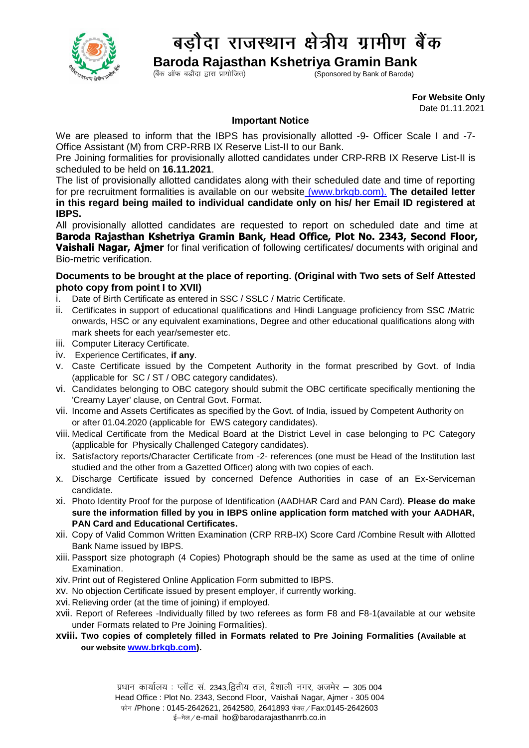

## बड़ौदा राजस्थान क्षेत्रीय ग्रामीण बैंक

 **Baroda Rajasthan Kshetriya Gramin Bank**

Sponsored by Bank of Baroda)

 **For Website Only**  Date 01.11.2021

## **Important Notice**

We are pleased to inform that the IBPS has provisionally allotted -9- Officer Scale I and -7- Office Assistant (M) from CRP-RRB IX Reserve List-II to our Bank.

Pre Joining formalities for provisionally allotted candidates under CRP-RRB IX Reserve List-II is scheduled to be held on **16.11.2021**.

The list of provisionally allotted candidates along with their scheduled date and time of reporting for pre recruitment formalities is available on our website [\(www.brkgb.com\)](http://www.brkgb.com/). **The detailed letter in this regard being mailed to individual candidate only on his/ her Email ID registered at IBPS.**

All provisionally allotted candidates are requested to report on scheduled date and time at **Baroda Rajasthan Kshetriya Gramin Bank, Head Office, Plot No. 2343, Second Floor, Vaishali Nagar, Ajmer** for final verification of following certificates/ documents with original and Bio-metric verification.

## **Documents to be brought at the place of reporting. (Original with Two sets of Self Attested photo copy from point I to XVII)**

- i. Date of Birth Certificate as entered in SSC / SSLC / Matric Certificate.
- ii. Certificates in support of educational qualifications and Hindi Language proficiency from SSC /Matric onwards, HSC or any equivalent examinations, Degree and other educational qualifications along with mark sheets for each year/semester etc.
- iii. Computer Literacy Certificate.
- iv. Experience Certificates, **if any**.
- v. Caste Certificate issued by the Competent Authority in the format prescribed by Govt. of India (applicable for SC / ST / OBC category candidates).
- vi. Candidates belonging to OBC category should submit the OBC certificate specifically mentioning the 'Creamy Layer' clause, on Central Govt. Format.
- vii. Income and Assets Certificates as specified by the Govt. of India, issued by Competent Authority on or after 01.04.2020 (applicable for EWS category candidates).
- viii. Medical Certificate from the Medical Board at the District Level in case belonging to PC Category (applicable for Physically Challenged Category candidates).
- ix. Satisfactory reports/Character Certificate from -2- references (one must be Head of the Institution last studied and the other from a Gazetted Officer) along with two copies of each.
- x. Discharge Certificate issued by concerned Defence Authorities in case of an Ex-Serviceman candidate.
- xi. Photo Identity Proof for the purpose of Identification (AADHAR Card and PAN Card). **Please do make sure the information filled by you in IBPS online application form matched with your AADHAR, PAN Card and Educational Certificates.**
- xii. Copy of Valid Common Written Examination (CRP RRB-IX) Score Card /Combine Result with Allotted Bank Name issued by IBPS.
- xiii. Passport size photograph (4 Copies) Photograph should be the same as used at the time of online Examination.
- xiv.Print out of Registered Online Application Form submitted to IBPS.
- xv. No objection Certificate issued by present employer, if currently working.
- xvi. Relieving order (at the time of joining) if employed.
- xvii. Report of Referees -Individually filled by two referees as form F8 and F8-1(available at our website under Formats related to Pre Joining Formalities).
- **xviii. Two copies of completely filled in Formats related to Pre Joining Formalities (Available at our website [www.brkgb.com\)](www.brkgb.com).**